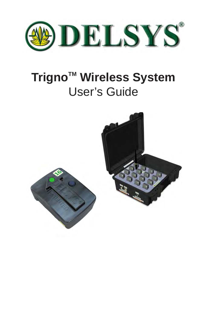

# **Trigno<sup>™</sup> Wireless System** User's Guide

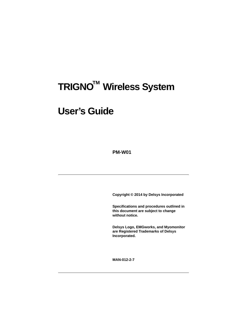# **TRIGNO™ Wireless System**

# **User's Guide**

**PM-W01**

**Copyright © 2014 by Delsys Incorporated**

**Specifications and procedures outlined in this document are subject to change without notice.**

**Delsys Logo, EMGworks, and Myomonitor are Registered Trademarks of Delsys Incorporated.**

**MAN-012-2-7**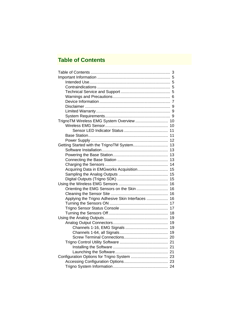# **Table of Contents**

| TrignoTM Wireless EMG System Overview  10 |
|-------------------------------------------|
| 10                                        |
| 11                                        |
| 11                                        |
| 12                                        |
| 13                                        |
| 13                                        |
| 13                                        |
| 13                                        |
| 14                                        |
| 15                                        |
| 15                                        |
| 15                                        |
| 16                                        |
| 16                                        |
| 16                                        |
| 16                                        |
| 17                                        |
| 17                                        |
| 18                                        |
| 19                                        |
| 19                                        |
| 19                                        |
| 19                                        |
|                                           |
|                                           |
|                                           |
|                                           |
|                                           |
|                                           |
|                                           |
|                                           |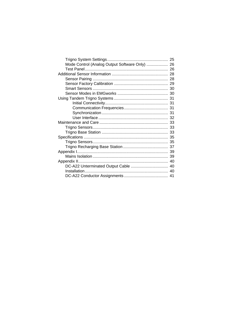| Mode Control (Analog Output Software Only)  26 |    |
|------------------------------------------------|----|
|                                                |    |
|                                                |    |
|                                                |    |
|                                                |    |
|                                                | 30 |
|                                                | 30 |
|                                                |    |
|                                                |    |
|                                                |    |
|                                                | 31 |
|                                                | 32 |
|                                                | 33 |
|                                                | 33 |
|                                                | 33 |
|                                                | 35 |
|                                                | 35 |
|                                                |    |
|                                                | 39 |
|                                                | 39 |
|                                                | 40 |
|                                                | 40 |
|                                                | 40 |
|                                                |    |
|                                                |    |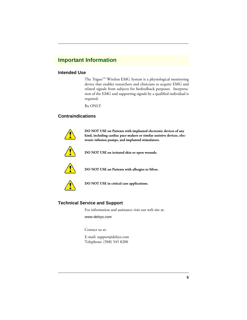# **Important Information**

## **Intended Use**

The Trigno<sup>TM</sup> Wireless EMG System is a physiological monitoring device that enables researchers and clinicians to acquire EMG and related signals from subjects for biofeedback purposes. Inerpretation of the EMG and supporting signals by a qualified individual is required.

Rx ONLY

## **Contraindications**



**DO NOT USE on Patients with implanted electronic devices of any kind, including cardiac pace-makers or similar assistive devices, electronic infusion pumps, and implanted stimulators.**



**DO NOT USE on irritated skin or open wounds.**



**DO NOT USE on Patients with allergies to Silver.**



**DO NOT USE in critical care applications.**

## **Technical Service and Support**

For information and assistance visit our web site at:

www.delsys.com

Contact us at:

E-mail: support@delsys.com Telephone: (508) 545 8200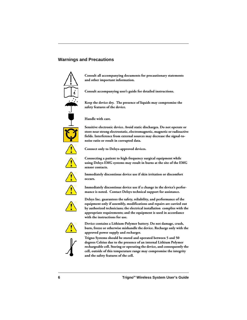## **Warnings and Precautions**



**Consult all accompanying documents for precautionary statements and other important information.**

**Consult accompanying user's guide for detailed instructions.**

**Keep the device dry. The presence of liquids may compromise the safety features of the device.**

**Handle with care.**

**Sensitive electronic device. Avoid static discharges. Do not operate or store near strong electrostatic, electromagnetic, magnetic or radioactive fields. Interference from external sources may decrease the signal-tonoise ratio or result in corrupted data.**



**Connect only to Delsys-approved devices.**

**Connecting a patient to high-frequency surgical equipment while using Delsys EMG systems may result in burns at the site of the EMG sensor contacts.**

**Immediately discontinue device use if skin irritation or discomfort occurs.**



**Immediately discontinue device use if a change in the device's performance is noted. Contact Delsys technical support for assistance.**



**Delsys Inc. guarantees the safety, reliability, and performance of the equipment only if assembly, modifications and repairs are carried out by authorized technicians; the electrical installation complies with the appropriate requirements; and the equipment is used in accordance with the instructions for use.**



**Device contains a Lithium-Polymer battery. Do not damage, crush, burn, freeze or otherwise mishandle the device. Recharge only with the approved power supply and recharger.**



**Trigno Systems should be stored and operated between 5 and 50 degrees Celsius due to the presence of an internal Lithium Polymer rechargeable cell. Storing or operating the device, and consequently the cell, outside of this temperature range may compromise the integrity and the safety features of the cell.**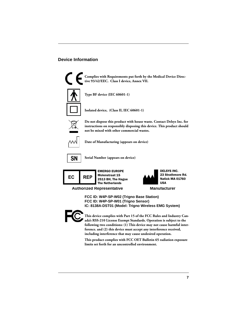## **Device Information**



**Complies with Requirements put forth by the Medical Device Directive 93/42/EEC. Class I device, Annex VII.**



**Type BF device (IEC 60601-1)**

**Isolated device, (Class II, IEC 60601-1)**



**Do not dispose this product with house waste. Contact Delsys Inc. for instructions on responsibly disposing this device. This product should not be mixed with other commercial wastes.**



**Date of Manufacturing (appears on device)**



**Serial Number (appears on device)**



EMERGO EUROPE Molenstraat 15 2513 BH, The Hague The Netherlands



**Authorized Representative Manufacturer**

**FCC ID: W4P-SP-W02 (Trigno Base Station) FCC ID: W4P-SP-W01 (Trigno Sensor) IC: 8138A-DST01 (Model: Trigno Wireless EMG System)**



**This device complies with Part 15 of the FCC Rules and Industry Canada's RSS-210 License Exempt Standards. Operation is subject to the following two conditions: (1) This device may not cause harmful interference. and (2) this device must accept any interference received, including interference that may cause undesired operation.**

**This product complies with FCC OET Bulletin 65 radiation exposure limits set forth for an uncontrolled environment.**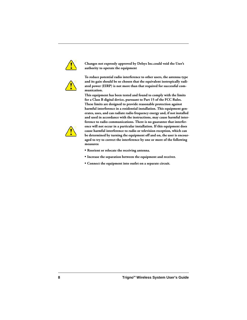

**Changes not expressly approved by Delsys Inc.could void the User's authority to operate the equipment**



**To reduce potential radio interference to other users, the antenna type and its gain should be so chosen that the equivalent isotropically radiated power (EIRP) is not more than that required for successful communication.**

**This equipment has been tested and found to comply with the limits for a Class B digital device, pursuant to Part 15 of the FCC Rules. These limits are designed to provide reasonable protection against harmful interference in a residential installation. This equipment generates, uses, and can radiate radio frequency energy and, if not installed and used in accordance with the instructions, may cause harmful interference to radio communications. There is no guarantee that interference will not occur in a particular installation. If this equipment does cause harmful interference to radio or television reception, which can be determined by turning the equipment off and on, the user is encouraged to try to correct the interference by one or more of the following measures:**

- **Reorient or relocate the receiving antenna.**
- **Increase the separation between the equipment and receiver.**
- **Connect the equipment into outlet on a separate circuit.**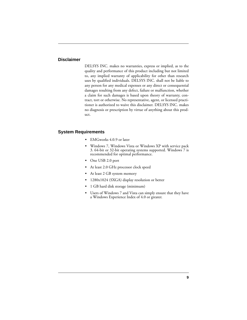#### **Disclaimer**

DELSYS INC. makes no warranties, express or implied, as to the quality and performance of this product including but not limited to, any implied warranty of applicability for other than research uses by qualified individuals. DELSYS INC. shall not be liable to any person for any medical expenses or any direct or consequential damages resulting from any defect, failure or malfunction, whether a claim for such damages is based upon theory of warranty, contract, tort or otherwise. No representative, agent, or licensed practitioner is authorized to waive this disclaimer. DELSYS INC. makes no diagnosis or prescription by virtue of anything about this product.

#### **System Requirements**

- **•** EMGworks 4.0.9 or later
- **•** Windows 7, Windows Vista or Windows XP with service pack 3. 64-bit or 32-bit operating systems supported. Windows 7 is recommended for optimal performance.
- **•** One USB 2.0 port
- **•** At least 2.0 GHz processor clock speed
- **•** At least 2 GB system memory
- **•** 1280x1024 (SXGA) display resolution or better
- **•** 1 GB hard disk storage (minimum)
- **•** Users of Windows 7 and Vista can simply ensure that they have a Windows Experience Index of 4.0 or greater.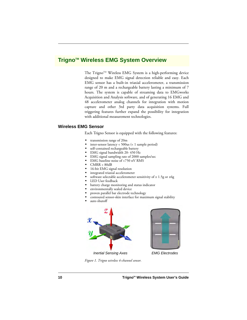## **Trigno™ Wireless EMG System Overview**

The Trigno™ Wireless EMG System is a high-performing device designed to make EMG signal detection reliable and easy. Each EMG sensor has a built-in triaxial accelerometer, a transmission range of 20 m and a rechargeable battery lasting a minimum of 7 hours. The system is capable of streaming data to EMGworks Acquisition and Analysis software, and of generating 16 EMG and 48 accelerometer analog channels for integration with motion capture and other 3rd party data acquisition systems. Full triggering features further expand the possibility for integration with additional measurement technologies.

#### **Wireless EMG Sensor**

Each Trigno Sensor is equipped with the following features:

- **•** transmission range of 20m
- inter-sensor latency < 500us (< 1 sample period)
- **•** self-contained rechargeable battery
- **•** EMG signal bandwidth 20- 450 Hz
- **•** EMG signal sampling rate of 2000 samples/sec
- **•** EMG baseline noise of <750 nV RMS
- **•** CMRR > 80dB
- **•** 16-bit EMG signal resolution
- **•** integrated triaxial accelerometer
- **•** software selectable accelerometer sensitivity of ± 1.5g or ±6g
- **•** LED User feedback
- **•** battery charge monitoring and status indicator
- **•** environmentally sealed device
- **•** proven parallel bar electrode technology
- **•** contoured sensor-skin interface for maximum signal stability
- **•** auto shutoff





*Figure 1. Trigno wireless 4-channel sensor.*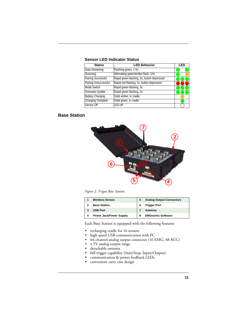| <b>Status</b>             | <b>LED Behavior</b>                        | 1 E I |
|---------------------------|--------------------------------------------|-------|
| Data Streaming            | Flashing green, 1 Hz                       |       |
| Scanning                  | Alternating green/amber flash, 1Hz         |       |
| <b>Pairing Successful</b> | Rapid green flashing, 3x, button depressed |       |
| Pairing Unsuccessful      | Rapid red flashing, 3x, button depressed   |       |
| Mode Switch               | Rapid green flashing, 3x                   |       |
| Firmware Update           | Rapid green flashing, 3x                   |       |
| <b>Battery Charging</b>   | Solid amber, in cradle                     |       |
| <b>Charging Complete</b>  | Solid green, in cradle                     |       |
| Sensor Off                | LED off                                    |       |

#### **Sensor LED Indicator Status**

## **Base Station**



*Figure 2. Trigno Base Station.*

| <b>Wireless Sensor</b>         | 5 | <b>Analog Output Connectors</b> |
|--------------------------------|---|---------------------------------|
| <b>Base Station</b>            | 6 | <b>Trigger Port</b>             |
| <b>USB Port</b>                |   | Antenna                         |
| <b>Power Jack/Power Supply</b> | 8 | <b>EMGworks Software</b>        |

Each Base Station is equipped with the following features:

- **•** recharging cradle for 16 sensors
- **•** high speed USB communication with PC
- **•** 64-channel analog output connector (16 EMG, 48 ACC)
- **•** ± 5V analog output range
- **•** detachable antenna
- **•** full trigger capability (Start/Stop, Input/Output)
- **•** communication & power feedback LEDs
- **•** convenient carry case design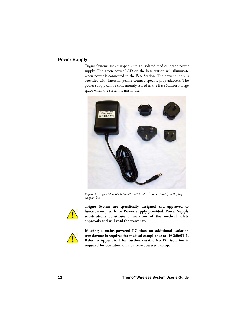## **Power Supply**

Trigno Systems are equipped with an isolated medical grade power supply. The green power LED on the base station will illuminate when power is connected to the Base Station. The power supply is provided with interchangeable country-specific plug adapters. The power supply can be conveniently stored in the Base Station storage space when the system is not in use.



*Figure 3. Trigno SC-P05 International Medical Power Supply with plug adapter kit.*



**Trigno System are specifically designed and approved to function only with the Power Supply provided. Power Supply substitutions constitute a violation of the medical safety approvals and will void the warranty.**



**If using a mains-powered PC then an additional isolation transformer is required for medical compliance to IEC60601-1. Refer to Appendix I for further details. No PC isolation is required for operation on a battery-powered laptop.**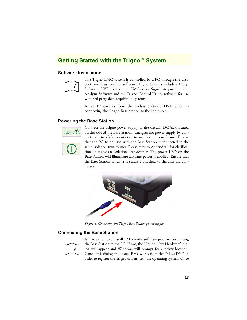# Getting Started with the Trigno<sup>™</sup> System

## **Software Installation**



The Trigno EMG system is controlled by a PC through the USB port, and thus requires software. Trigno Systems include a Delsys Software DVD containing EMGworks Signal Acquisition and Analysis Software and the Trigno Control Utility software for use with 3rd party data acquisition systems.

Install EMGworks from the Delsys Software DVD prior to connecting the Trigno Base Station to the computer.

## **Powering the Base Station**





Connect the Trigno power supply to the circular DC jack located on the side of the Base Station. Energize the power supply by connecting it to a Mains outlet or to an isolation transformer. Ensure that the PC to be used with the Base Station is connected to the same isolation transformer. Please refer to Appendix I for clarification on using an Isolation Transformer. The power LED on the Base Station will illuminate anytime power is applied. Ensure that the Base Station antenna is securely attached to the antenna connector.



*Figure 4. Connecting the Trigno Base Station power supply.*

## **Connecting the Base Station**



It is important to install EMGworks software prior to connecting the Base Station to the PC. If not, the "Found New Hardware" dialog will appear and Windows will prompt for a driver location. Cancel this dialog and install EMGworks from the Delsys DVD in order to register the Trigno drivers with the operating system. Once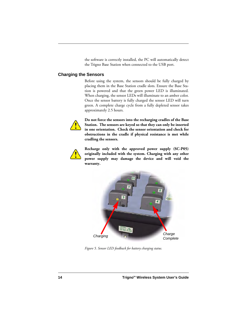the software is correctly installed, the PC will automatically detect the Trigno Base Station when connected to the USB port.

## **Charging the Sensors**

Before using the system, the sensors should be fully charged by placing them in the Base Station cradle slots. Ensure the Base Station is powered and that the green power LED is illuminated. When charging, the sensor LEDs will illuminate to an amber color. Once the sensor battery is fully charged the sensor LED will turn green. A complete charge cycle from a fully depleted sensor takes approximately 2.5 hours.



**Do not force the sensors into the recharging cradles of the Base Station. The sensors are keyed so that they can only be inserted in one orientation. Check the sensor orientation and check for obstructions in the cradle if physical resistance is met while cradling the sensors.**



**Recharge only with the approved power supply (SC-P05) originally included with the system. Charging with any other power supply may damage the device and will void the warranty.**



*Figure 5. Sensor LED feedback for battery charging status.*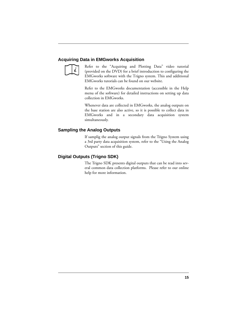## **Acquiring Data in EMGworks Acquisition**



Refer to the "Acquiring and Plotting Data" video tutorial (provided on the DVD) for a brief introduction to configuring the EMGworks software with the Trigno system. This and additional EMGworks tutorials can be found on our website.

Refer to the EMGworks documentation (accessible in the Help menu of the software) for detailed instructions on setting up data collection in EMGworks.

Whenever data are collected in EMGworks, the analog outputs on the base station are also active, so it is possible to collect data in EMGworks and in a secondary data acquisition system simultaneously.

#### **Sampling the Analog Outputs**

If samplig the analog output signals from the Trigno System using a 3rd party data acquisition system, refer to the "Using the Analog Outputs" section of this guide.

#### **Digital Outputs (Trigno SDK)**

The Trigno SDK presents digital outputs that can be read into several common data collection platforms. Please refer to our online help for more information.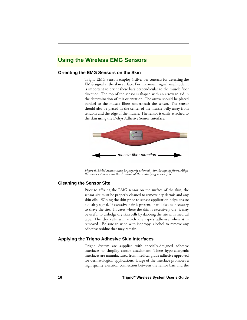# **Using the Wireless EMG Sensors**

## **Orienting the EMG Sensors on the Skin**

Trigno EMG Sensors employ 4 silver bar contacts for detecting the EMG signal at the skin surface. For maximum signal amplitude, it is important to orient these bars perpendicular to the muscle fiber direction. The top of the sensor is shaped with an arrow to aid in the determination of this orientation. The arrow should be placed parallel to the muscle fibers underneath the sensor. The sensor should also be placed in the center of the muscle belly away from tendons and the edge of the muscle. The sensor is easily attached to the skin using the Delsys Adhesive Sensor Interface.



*Figure 6. EMG Sensors must be properly oriented with the muscle fibers. Align the sensor's arrow with the direction of the underlying muscle fibers.*

## **Cleaning the Sensor Site**

Prior to affixing the EMG sensor on the surface of the skin, the sensor site must be properly cleaned to remove dry dermis and any skin oils. Wiping the skin prior to sensor application helps ensure a qualtiy signal. If excessive hair is present, it will also be necessary to shave the site. In cases where the skin is excessively dry, it may be useful to dislodge dry skin cells by dabbing the site with medical tape. The dry cells will attach the tape's adhesive when it is removed. Be sure to wipe with isopropyl alcohol to remove any adhesive residue that may remain.

## **Applying the Trigno Adhesive Skin Interfaces**

Trigno System are supplied with specially-designed adhesive interfaces to simplify sensor attachment. These hypo-allergenic interfaces are manufactured from medical grade adhesive approved for dermatological applications. Usage of the interface promotes a high quality electrical connection between the sensor bars and the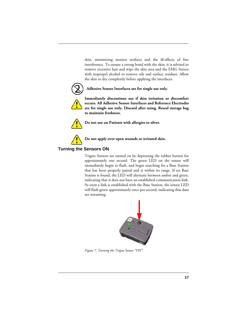skin, minimizing motion artifacts and the ill-effects of line interference. To ensure a strong bond with the skin, it is advised to remove excessive hair and wipe the skin area and the EMG Sensor with isopropyl alcohol to remove oils and surface residues. Allow the skin to dry completely before applying the interfaces.



## **Adhesive Sensor Interfaces are for single use only.**



**Immediately discontinue use if skin irritation or discomfort occurs. All Adhesive Sensor Interfaces and Reference Electrodes are for single use only. Discard after using. Reseal storage bag to maintain freshness.**



**Do not use on Patients with allergies to silver.**



## **Do not apply over open wounds or irritated skin.**

## **Turning the Sensors ON**

Trigno Sensors are turned on by depressing the rubber button for approximately one second. The green LED on the sensor will immediately begin to flash, and begin searching for a Base Station that has been properly paired and is within its range. If no Base Station is found, the LED will alternate between amber and green, indicating that it does not have an established communication link. As soon a link is established with the Base Station, the sensor LED will flash green approximately once per second, indicating that data are streaming.



*Figure 7. Turning the Trigno Sensor "ON".*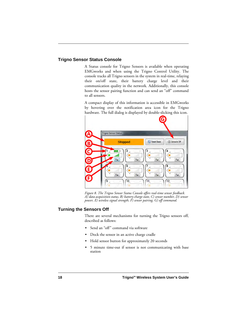## **Trigno Sensor Status Console**

A Status console for Trigno Sensors is available when operating EMGworks and when using the Trigno Control Utility. The console tracks all Trigno sensors in the system in real-time, relaying their on/off state, their battery charge level and their communication quality in the network. Additionally, this console hosts the sensor pairing function and can send an "off" command to all sensors.

A compact display of this information is accessible in EMGworks by hovering over the notification area icon for the Trigno hardware. The full dialog is displayed by double-slicking this icon.



*Figure 8. The Trigno Sensor Status Console offers real-time sensor feedback. A) data acquisition status, B) battery charge state, C) sensor number, D) sensor power, E) wireless signal strength, F) sensor pairing, G) off command.*

## **Turning the Sensors Off**

There are several mechanisms for turning the Trigno sensors off, described as follows:

- **•** Send an "off" command via software
- **•** Dock the sensor in an active charge cradle
- **•** Hold sensor button for approximately 20 seconds
- **•** 5 minute time-out if sensor is not communicating with base station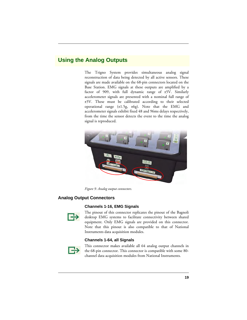# **Using the Analog Outputs**

The Trigno System provides simultaneous analog signal reconstruction of data being detected by all active sensors. These signals are made available on the 68-pin connectors located on the Base Station. EMG signals at these outputs are amplified by a factor of 909, with full dynamic range of  $\pm$ 5V. Similarly accelerometer signals are presented with a nominal full range of ±5V. These must be calibrated according to their selected operational range  $(\pm 1.5g, \pm 6g)$ . Note that the EMG and accelerometer signals exhibit fixed 48 and 96ms delays respectively, from the time the sensor detects the event to the time the analog signal is reproduced.



*Figure 9. Analog output connectors.*

## **Analog Output Connectors**

#### **Channels 1-16, EMG Signals**



The pinout of this connector replicates the pinout of the Bagnoli desktop EMG systems to facilitate connectivity between shared equipment. Only EMG signals are provided on this connector. Note that this pinout is also compatible to that of National Instruments data acquisition modules.

#### **Channels 1-64, all Signals**



This connector makes available all 64 analog output channels in the 68-pin connector. This connector is compatible with some 80 channel data acquisition modules from National Instruments.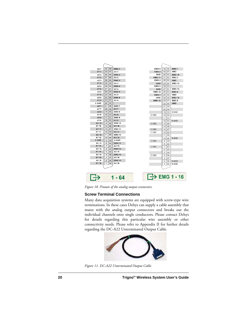

*Figure 10. Pinouts of the analog output connectors.*

## **Screw Terminal Connections**

Many data acquisition systems are equipped with screw-type wire terminations. In these cases Delsys can supply a cable assembly that mates with the analog output connectors and breaks out the individual channels onto single conductors. Please contact Delsys for details regarding this particular wire assembly or other connectivity needs. Please refer to Appendix II for further details regarding the DC-A22 Unterminated Output Cable.



*Figure 11. DC-A22 Unterminated Output Cable.*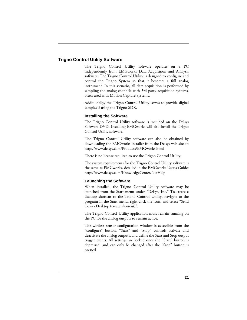## **Trigno Control Utility Software**

The Trigno Control Utility software operates on a PC independently from EMGworks Data Acquisition and Analysis software. The Trigno Control Utility is designed to configure and control the Trigno System so that it becomes a full analog instrument. In this scenario, all data acquisition is performed by sampling the analog channels with 3rd party acquisition systems, often used with Motion Capture Systems.

Additionally, the Trigno Control Utility serves to provide digital samples if using the Trigno SDK.

#### **Installing the Software**

The Trigno Control Utility software is included on the Delsys Software DVD. Installing EMGworks will also install the Trigno Control Utility software.

The Trigno Control Utility software can also be obtained by downloading the EMGworks installer from the Delsys web site at: http://www.delsys.com/Products/EMGworks.html

There is no license required to use the Trigno Control Utility.

The system requirements for the Trigno Control Utility software is the same as EMGworks, detailed in the EMGworks User's Guide: http://www.delsys.com/KnowledgeCenter/NetHelp

#### **Launching the Software**

When installed, the Trigno Control Utility software may be launched from the Start menu under "Delsys, Inc." To create a desktop shortcut to the Trigno Control Utility, navigate to the program in the Start menu, right click the icon, and select "Send To --> Desktop (create shortcut)".

The Trigno Control Utility application must remain running on the PC for the analog outputs to remain active.

The wireless sensor configuration window is accessible from the "configure" button. "Start" and "Stop" controls activate and deactivate the analog outputs, and define the Start and Stop output trigger events. All settings are locked once the "Start" button is depressed, and can only be changed after the "Stop" button is pressed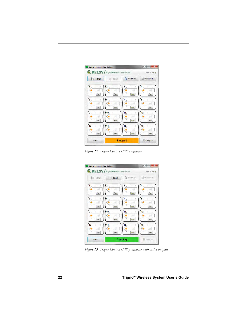

*Figure 12. Trigno Control Utility software.*



*Figure 13. Trigno Control Utility software with active outputs*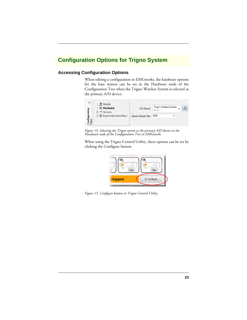# **Configuration Options for Trigno System**

## **Accessing Configuration Options**

When editing a configuration in EMGworks, the hardware options for the base station can be set in the Hardware node of the Configuration Tree when the Trigno Wireless System is selected as the primary A/D device.



*Figure 14. Selecting the Trigno system as the primary A/D device in the Hardware node of the Configuration Tree in EMGworks.*

When using the Trigno Control Utility, these options can be set by clicking the Configure button.



*Figure 15. Configure button in Trigno Control Utility*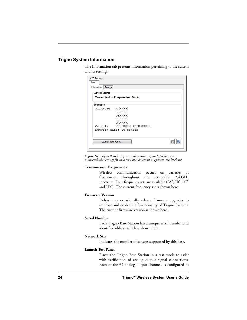## **Trigno System Information**

The Information tab presents information pertaining to the system and its settings.

| A/D Settings                   |                                        |  |
|--------------------------------|----------------------------------------|--|
| Base 1                         |                                        |  |
| <b>Information</b><br>Settings |                                        |  |
| <b>General Settings</b>        |                                        |  |
|                                | <b>Transmission Frequencies: Set A</b> |  |
| Information                    |                                        |  |
| Firmware: MAXXXX               |                                        |  |
|                                | <b>BEXXXX</b>                          |  |
|                                | <b>DSXXXX</b>                          |  |
|                                | USXXXX                                 |  |
|                                | <b>DAXXXX</b>                          |  |
|                                | Serial: W02-XXXX (BID-XXXX)            |  |
|                                | Network Size: 16 Sensor                |  |
|                                |                                        |  |
| Launch Test Panel              |                                        |  |
|                                |                                        |  |

*Figure 16. Trigno Wireless System information. If multiple bases are connected, the settings for each base are shown on a separate, top level tab.*

#### **Transmission Frequencies**

Wireless communication occurs on varieties of frequencies throughout the acceptable 2.4 GHz spectrum. Four frequency sets are available ("A", "B", "C" and "D"). The current frequency set is shown here.

#### **Firmware Version**

Delsys may occasionally release firmware upgrades to improve and evolve the functionality of Trigno Systems. The current firmware version is shown here.

#### **Serial Number**

Each Trigno Base Station has a unique serial number and identifier address which is shown here.

#### **Network Size**

Indicates the number of sensors supported by this base.

#### **Launch Test Panel**

Places the Trigno Base Station in a test mode to assist with verification of analog output signal connections. Each of the 64 analog output channels is configured to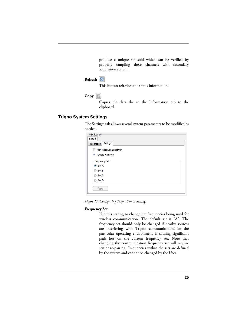produce a unique sinusoid which can be verified by properly sampling these channels with secondary acquisition system.

## **Refresh**

This button refreshes the status information.

**Copy** 

Copies the data the in the Information tab to the clipboard.

## **Trigno System Settings**

The Settings tab allows several system parameters to be modified as needed.

| A/D Settings                     |
|----------------------------------|
| Base 1                           |
| Settings<br>Information          |
| <b>High Receiver Sensitivity</b> |
| V Audible warnings               |
| <b>Frequency Set</b>             |
| Set A                            |
| Set B<br>∩                       |
| Set C<br>⊙                       |
| Set D                            |
| Apply                            |

*Figure 17. Configuring Trigno Sensor Settings*

#### **Frequency Set**

Use this setting to change the frequencies being used for wireless communication. The default set is "A". The frequency set should only be changed if nearby sources are interfering with Trigno communications or the particular operating environment is causing significant path loss on the current frequency set. Note that changing the communication frequency set will require sensor re-pairing. Frequencies within the sets are defined by the system and cannot be changed by the User.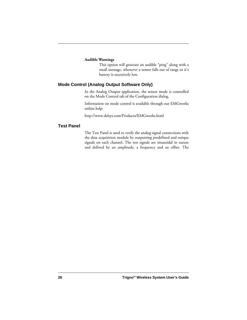#### **Audible Warnings**

This option will generate an audible "ping" along with a small message, whenever a sensor falls out of range or it's battery is excessively low.

## **Mode Control (Analog Output Software Only)**

In the Analog Output application, the sensor mode is controlled on the Mode Control tab of the Configuration dialog.

Information on mode control is available through our EMGworks online help:

http://www.delsys.com/Products/EMGworks.html

#### **Test Panel**

The Test Panel is used to verify the analog signal connections with the data acquisition module by outputting predefined and unique signals on each channel. The test signals are sinusoidal in nature and defined by an amplitude, a frequency and an offset. The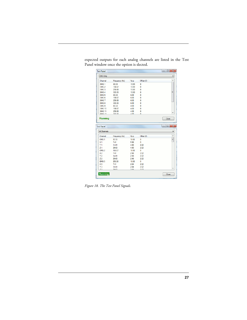| Channel                             | Frequency (Hz) | V <sub>p-p</sub> | Offset (V)   | ▴                                            |
|-------------------------------------|----------------|------------------|--------------|----------------------------------------------|
| EMG <sub>1</sub>                    | 83.33          | 10.00            | 0            |                                              |
| EMG <sub>2</sub>                    | 166.67         | 10.00            | 0            |                                              |
| FMG <sub>3</sub>                    | 250.00         | 10.00            | $\mathbf{0}$ |                                              |
| <b>EMG4</b>                         | 333.33         | 10.00            | $\mathbf{0}$ | Ξ                                            |
| <b>EMG<sub>5</sub></b>              | 83.33          | 6.00             | $\bf{0}$     |                                              |
| EMG <sub>6</sub>                    | 166.67         | 6.00             | 0            |                                              |
| <b>EMG7</b>                         | 250.00         | 6.00             | 0            |                                              |
| EMG <sub>8</sub>                    | 333.33         | 6.00             | 0            |                                              |
| EMG <sub>9</sub>                    | 83.33          | 4.00             | 0            |                                              |
| <b>EMG 10</b>                       | 166.67         | 4.00             | 0            |                                              |
| <b>EMG 11</b>                       | 250.00         | 4.00             | n            |                                              |
| EMC 10                              | כפ ככפ         | A nn             | ñ            |                                              |
| <b>Running</b><br><b>Test Panel</b> |                |                  |              | Close<br>$\Box$ e<br>$\overline{\mathbf{x}}$ |
| All Channels                        |                |                  |              | ۰                                            |
| Channel                             | Frequency (Hz) | V <sub>p-p</sub> | Offset (V)   | ▲                                            |
| FMG <sub>1</sub>                    | 83.33          | 1000             | $\Omega$     | L                                            |
| X <sub>1</sub>                      | 741            | 9.96             | $\Omega$     |                                              |
| Y1                                  | 14.81          | 4.00             | 2.02         |                                              |
| Z <sub>1</sub>                      | 29.63          | 4.00             | 2.02         |                                              |
| EMG <sub>2</sub>                    | 166.67         | 10.00            | $\Omega$     |                                              |
| X <sub>2</sub>                      | 7.41           | 2.98             | 2.02         |                                              |
| Y <sub>2</sub>                      | 14.81          | 2.98             | 2.02         |                                              |
| Z <sub>2</sub>                      | 29.63          | 2.98             | 2.02         |                                              |
| EMG <sub>3</sub>                    | 250.00         | 10.00            | $\mathbf{0}$ |                                              |
| X <sub>3</sub>                      | 7.41           | 2.04             | 2.02         |                                              |
| Y3                                  | 14.81          | 2.04             | 2.02         |                                              |

expected outputs for each analog channels are listed in the Test Panel window once the option is slected.

*Figure 18. The Test Panel Signals.*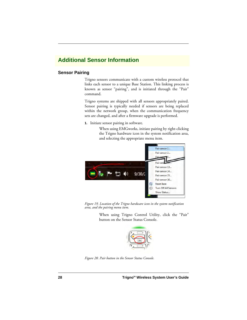# **Additional Sensor Information**

## **Sensor Pairing**

Trigno sensors communicate with a custom wireless protocol that links each sensor to a unique Base Station. This linking process is known as sensor "pairing", and is initiated through the "Pair" command.

Trigno systems are shipped with all sensors appropriately paired. Sensor pairing is typically needed if sensors are being replaced within the network group, when the communication frequency sets are changed, and after a firmware upgrade is performed.

**1.** Initiate sensor pairing in software.

When using EMGworks, initiate pairing by right-clicking the Trigno hardware icon in the system notification area, and selecting the appropriate menu item.



*Figure 19. Location of the Trigno hardware icon in the system notification area, and the pairing menu item.*

When using Trigno Control Utility, click the "Pair" button on the Sensor Status Console.



*Figure 20. Pair button in the Sensor Status Console.*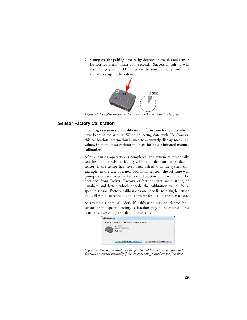**2.** Complete the pairing process by depressing the desired sensor button for a minimum of 3 seconds. Successful pairing will result in 3 green LED flashes on the sensor, and a confirmational message in the software.



*Figure 21. Complete the process by depressing the sensor button for 3 sec.*

## **Sensor Factory Calibration**

The Trigno system stores calibration information for sensors which have been paired with it. When collecting data with EMGworks, this calibration information is used to accurately display measured values, in many cases without the need for a user-initiated manual calibration.

After a pairing operation is completed, the system automatically searches for pre-existing factory calibration data on the particular sensor. If the sensor has never been paired with the system (for example, in the case of a new additional sensor), the software will prompt the user to enter factory calibration data, which can be obtained from Delsys. Factory calibration data are a string of numbers and letters which encode the calibration values for a specific sensor. Factory calibrations are specific to a single sensor and will not be accepted by the software for use on another sensor.

At any time a nominal, "default" calibration may be selected for a sensor, or the specific factory calibration may be re-entered. This feature is accessed by re-pairing the sensor.



*Figure 22. Factory Calibration Prompt. The calibration can be either autodetected, or entered manually if the sensor is being paired for the first time.*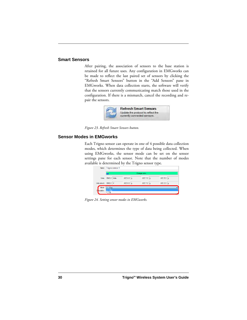#### **Smart Sensors**

After pairing, the association of sensors to the base station is retained for all future uses. Any configuration in EMGworks can be made to reflect the last paired set of sensors by clicking the "Refresh Smart Sensors" button in the "Add Sensors" pane in EMGworks. When data collection starts, the software will verify that the sensors currently communicating match those used in the configuration. If there is a mismatch, cancel the recording and repair the sensors.



*Figure 23. Refresh Smart Sensors button.*

#### **Sensor Modes in EMGworks**

Each Trigno sensor can operate in one of 4 possible data collection modes, which determines the type of data being collected. When using EMGworks, the sensor mode can be set on the sensor settings pane for each sensor. Note that the number of modes available is determined by the Trigno sensor type.

| Name              | Trigno sensor 1                        |                       |                      |           |  |
|-------------------|----------------------------------------|-----------------------|----------------------|-----------|--|
|                   |                                        |                       | Change color         |           |  |
| <b>Units</b>      | EMG 2 Volts                            | $ACC X2$ <sup>g</sup> | $ACCY2$ g            | ACCZ2     |  |
| Units (short)     | EMG <sub>2</sub> V                     | $ACC X2$ <sup>a</sup> | $ACCY2$ <sup>a</sup> | $ACCZ2$ g |  |
| Mode<br>scription | $+/- 1.5$ g<br>$+/- 1.5 g$<br>$+/- 6g$ |                       |                      |           |  |
|                   |                                        |                       |                      |           |  |

*Figure 24. Setting sensor modes in EMGworks.*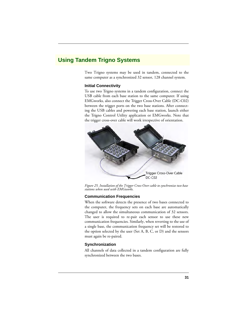# **Using Tandem Trigno Systems**

Two Trigno systems may be used in tandem, connected to the same computer as a synchronized 32 sensor, 128 channel system.

#### **Initial Connectivity**

To use two Trigno systems in a tandem configuration, connect the USB cable from each base station to the same computer. If using EMGworks, also connect the Trigger Cross-Over Cable (DC-C02) between the trigger ports on the two base stations. After connecting the USB cables and powering each base station, launch either the Trigno Control Utility application or EMGworks. Note that the trigger cross-over cable will work irrespective of orientation.



*Figure 25. Installation of the Trigger Cross-Over cable to synchronize two base stations when used with EMGworks.*

#### **Communication Frequencies**

When the software detects the presence of two bases connected to the computer, the frequency sets on each base are automatically changed to allow the simultaneous communication of 32 sensors. The user is required to re-pair each sensor to use these new communication frequencies. Similarly, when reverting to the use of a single base, the communication frequency set will be restored to the option selected by the user (Set A, B, C, or D) and the sensors must again be re-paired.

#### **Synchronization**

All channels of data collected in a tandem configuration are fully synchronized between the two bases.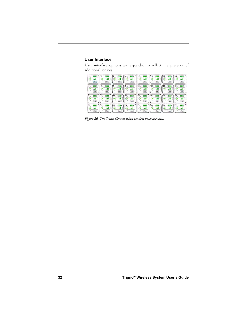## **User Interface**

User interface options are expanded to reflect the presence of additional sensors.

| Pair<br>Pair.       | Pair.<br>Past      | Pair.<br>Pair                        | -88<br>Pair<br>Pair            |
|---------------------|--------------------|--------------------------------------|--------------------------------|
| Pait<br><b>Pair</b> | <b>Pas</b><br>Pair | 2 <sup>1</sup><br>22<br>Pair<br>Paid | $\sim$<br>Par<br>Pair          |
| Fat<br>Pair         | -11<br>Pat<br>Pain | Paid<br>Pair                         | 28<br>.<br>Par<br>Pair         |
| Pair<br>Pair        | 15<br>Pais<br>Pair | 29<br>Pain<br>Pair                   | 32<br>$p_{\text{int}}$<br>Pain |

*Figure 26. The Status Console when tandem bases are used.*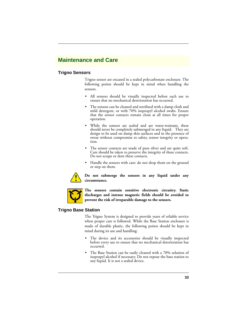# **Maintenance and Care**

## **Trigno Sensors**

Trigno sensor are encased in a sealed polycarbonate enclosure. The following points should be kept in mind when handling the sensors.

- **•** All sensors should be visually inspected before each use to ensure that no mechanical deterioration has occurred.
- **•** The sensors can be cleaned and sterilized with a damp cloth and mild detergent, or with 70% isopropyl alcohol swabs. Ensure that the sensor contacts remain clean at all times for proper operation.
- **•** While the sensors are sealed and are water-resistant, these should never be completely submerged in any liquid. They are design to be used on damp skin surfaces and in the presence of sweat without compromise to safety, sensor integrity or operation.
- **•** The sensor contacts are made of pure silver and are quite soft. Care should be taken to preserve the integrity of these contacts. Do not scrape or dent these contacts.
- **•** Handle the sensors with care: do not drop them on the ground or step on them.



**Do not submerge the sensors in any liquid under any circumstance.**



**The sensors contain sensitive electronic circuitry. Static discharges and intense magnetic fields should be avoided to prevent the risk of irreparable damage to the sensors.**

## **Trigno Base Station**

The Trigno System is designed to provide years of reliable service when proper care is followed. While the Base Station enclosure is made of durable plastic, the following points should be kept in mind during its use and handling:

- **•** The device and its accessories should be visually inspected before every use to ensure that no mechanical deterioration has occurred.
- **•** The Base Station can be easily cleaned with a 70% solution of isopropyl alcohol if necessary. Do not expose the base station to any liquid. It is not a sealed device.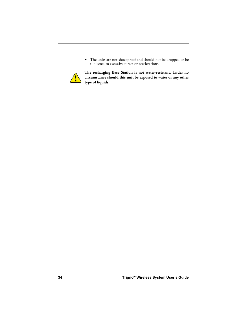**•** The units are not shockproof and should not be dropped or be subjected to excessive forces or accelerations.



**The recharging Base Station is not water-resistant. Under no circumstance should this unit be exposed to water or any other type of liquids.**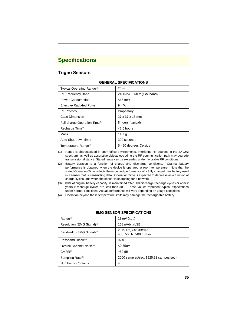# **Specifications**

## **Trigno Sensors**

| <b>GENERAL SPECIFICATIONS</b>             |                          |  |  |  |
|-------------------------------------------|--------------------------|--|--|--|
| Typical Operating Range <sup>(1)</sup>    | 20 m                     |  |  |  |
| <b>RF Frequency Band</b>                  | 2400-2483 MHz (ISM band) |  |  |  |
| <b>Power Consumption</b>                  | $<$ 65 mW                |  |  |  |
| <b>Effective Radiated Power</b>           | 9 mW                     |  |  |  |
| <b>RF Protocol</b>                        | Proprietary              |  |  |  |
| Case Dimension                            | 27 x 37 x 15 mm          |  |  |  |
| Full-charge Operation Time <sup>(2)</sup> | 8 hours (typical)        |  |  |  |
| Recharge Time <sup>(3)</sup>              | $<$ 2.5 hours            |  |  |  |
| Mass                                      | 14.7 $g$                 |  |  |  |
| Auto Shut-down timer                      | 300 seconds              |  |  |  |
| Temperature Range <sup>(4)</sup>          | 5 - 50 degrees Celsius   |  |  |  |

(1) Range is characterized in open office environments. Interfering RF sources in the 2.4GHz spectrum, as well as absorptive objects occluding the RF communication path may degrade transmission distance. Stated range can be exceeded under favorable RF conditions.

- (2) Battery duration is a function of charge and discharge conditions. Optimal battery performance is obtained when the device is operated at room temperature. Note that the stated Operation Time reflects the expected performance of a fully charged new battery used in a sensor that is transmitting data. Operation Time is expected to decrease as a function of charge cycles, and when the sensor is searching for a network.
- (3) 80% of original battery capacity is maintained after 300 discharge/recharge cycles or after 2 years if recharge cycles are less than 300. These values represent typical expectations under normal conditions. Actual performance will vary depending on usage conditions.
- (4) Operation beyond these temperature limits may damage the rechargeable battery.

| <b>EMG SENSOR SPECIFICATIONS</b>       |                                                             |  |  |
|----------------------------------------|-------------------------------------------------------------|--|--|
| Range <sup>(1)</sup>                   | 11 mV $(r.t. i.)$                                           |  |  |
| Resolution (EMG Signal) <sup>(2)</sup> | 168 nV/bit (LSB)                                            |  |  |
| Bandwidth (EMG Signal) <sup>(3)</sup>  | $20\pm 5$ Hz, $>40$ dB/dec<br>450 $\pm$ 50 Hz, $>80$ dB/dec |  |  |
| Passband Ripple <sup>(3)</sup>         | $2\%$                                                       |  |  |
| Overall Channel Noise <sup>(4)</sup>   | $< 0.75$ uV                                                 |  |  |
| $CMRR^{(5)}$                           | $>80$ dB                                                    |  |  |
| Sampling Rate <sup>(6)</sup>           | 2000 samples/sec, 1925.93 sampes/sec*                       |  |  |
| Number of Contacts                     | 4                                                           |  |  |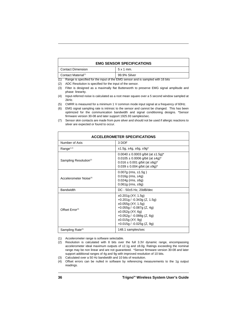| <b>EMG SENSOR SPECIFICATIONS</b> |              |  |  |
|----------------------------------|--------------|--|--|
| <b>Contact Dimension</b>         | $5x1$ mm.    |  |  |
| Contact Material <sup>(7)</sup>  | 99.9% Silver |  |  |

(1) Range is specified for the input of the EMG sensor and is sampled with 16 bits

- (2) ADC Resolution is specified for the input of the sensor.
- (3) Filter is designed as a maximally flat Butterworth to preserve EMG signal amplitude and phase linearity.
- (4) Input-referred noise is calculated as a root mean square over a 5 second window sampled at 2kHz.
- (5) CMRR is measured for a minimum 1 V common mode input signal at a frequency of 60Hz.
- (6) EMG signal sampling rate is intrinsic to the sensor and cannot be changed. This has been optimized for the communication bandwidth and signal conditioning designs. \*Sensor firmware version 30-08 and later support 1925.93 samples/sec.
- (7) Sensor skin contacts are made from pure silver and should not be used if allergic reactions to silver are expected or found to occur.

| <b>ACCELEROMETER SPECIFICATIONS</b> |                                                                                                                                                                                                                                  |  |
|-------------------------------------|----------------------------------------------------------------------------------------------------------------------------------------------------------------------------------------------------------------------------------|--|
| Number of Axis                      | 3 DOF                                                                                                                                                                                                                            |  |
| Range $(1,2)$                       | $±1.5g, ±4g, ±6g, ±9g*$                                                                                                                                                                                                          |  |
| Sampling Resolution <sup>(2)</sup>  | $0.0040 \pm 0.0003$ g/bit (at $\pm 1.5$ g)*<br>$0.0105 \pm 0.0006$ g/bit (at $\pm 4$ g) <sup>*</sup><br>$0.016 \pm 0.001$ g/bit (at $\pm 6$ g)*<br>$0.039 \pm 0.004$ g/bit (at $\pm 9$ g)*                                       |  |
| Accelerometer Noise <sup>(3)</sup>  | $0.007g$ (rms, $\pm 1.5g$ )<br>$0.016g$ (rms, $\pm 4g$ )<br>$0.024g$ (rms, $\pm 6g$ )<br>$0.061g$ (rms, $\pm 9g$ )                                                                                                               |  |
| <b>Bandwidth</b>                    | $DC - 50\pm 5$ Hz, 20dB/dec                                                                                                                                                                                                      |  |
| Offset Error <sup>(4)</sup>         | $\pm 0.201$ g (XY, 1.5g)<br>$+0.201g / -0.343g$ (Z, 1.5g)<br>$\pm 0.055g$ (XY, 1.5g)<br>$+0.055g / -0.087g (Z, 4g)$<br>$\pm 0.052g$ (XY, 6g)<br>$+0.052g / -0.088g (Z, 6g)$<br>$±0.015q$ (XY, 9g)<br>$+0.015g / -0.025g (Z, 9g)$ |  |
| Sampling Rate <sup>(5)</sup>        | 148.1 samples/sec                                                                                                                                                                                                                |  |

(1) Accelerometer range is software selectable.

- (2) Resolution is calculated with 8 bits over the full 3.3V dynamic range, encompassing accelerometer ideal maximum outputs of ±2.1g and ±8.0g. Ratings exceeding the nominal range may be non linear and are not guaranteed. \*Sensor firmware version 30-08 and later support additional ranges of 4g and 9g with improved resolution of 10 bits.
- (3) Calculated over a 50 Hz bandwidth and 10 bits of resolution.
- (4) Offset errors can be nulled in software by referencing measurements to the 1g output readings.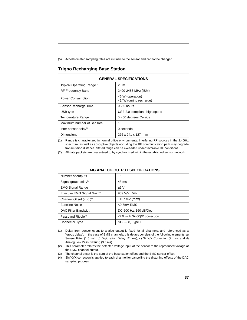(5) Accelerometer sampling rates are intrinsic to the sensor and cannot be changed.

## **Trigno Recharging Base Station**

| <b>GENERAL SPECIFICATIONS</b>          |                                            |  |  |
|----------------------------------------|--------------------------------------------|--|--|
| Typical Operating Range <sup>(1)</sup> | 20 <sub>m</sub>                            |  |  |
| <b>RF Frequency Band</b>               | 2400-2483 MHz (ISM)                        |  |  |
| <b>Power Consumption</b>               | <6 W (operation)<br><14W (during recharge) |  |  |
| Sensor Recharge Time                   | $< 2.5$ hours                              |  |  |
| USB type                               | USB 2.0 compliant, high speed              |  |  |
| <b>Temperature Range</b>               | 5 - 50 degrees Celsius                     |  |  |
| Maximum number of Sensors              | 16                                         |  |  |
| Inter-sensor delay $(2)$               | $0$ seconds                                |  |  |
| Dimensions                             | 276 x 241 x 127 mm                         |  |  |

(1) Range is characterized in normal office environments. Interfering RF sources in the 2.4GHz spectrum, as well as absorptive objects occluding the RF communication path may degrade transmission distance. Stated range can be exceeded under favorable RF conditions.

(2) All data packets are guaranteed to by synchronized within the established sensor network.

| <b>EMG ANALOG OUTPUT SPECIFICATIONS</b>  |                              |  |  |
|------------------------------------------|------------------------------|--|--|
| Number of outputs                        | 16                           |  |  |
| Signal group delay $(1)$                 | 48 ms                        |  |  |
| <b>EMG Signal Range</b>                  | ±5V                          |  |  |
| Effective EMG Signal Gain <sup>(2)</sup> | 909 V/V $±5\%$               |  |  |
| Channel Offset (r.t.o.) <sup>(3)</sup>   | $±157$ mV (max)              |  |  |
| <b>Baseline Noise</b>                    | $< 0.5$ m $V$ RMS            |  |  |
| DAC Filter Bandwidth                     | DC-500 Hz, 160 dB/Dec.       |  |  |
| Passband Ripple <sup>(4)</sup>           | <2% with Sin(X)/X correction |  |  |
| Connector Type                           | SCSI-68, Type II             |  |  |

- (1) Delay from sensor event to analog output is fixed for all channels, and referenced as a "group delay". In the case of EMG channels, this delays consists of the following elements: a) Sensor Filter (1.5 ms), b) Digitization Delay (41 ms), c) SinX/X Correction (2 ms), and d) Analog Low Pass Filtering (3.5 ms).
- (2) This parameter relates the detected voltage input at the sensor to the reproduced voltage at the EMG channel output.
- (3) The channel offset is the sum of the base sation offset and the EMG sensor offset.
- (4) Sin(X)/X correction is applied to each channel for cancelling the distorting effects of the DAC sampling process.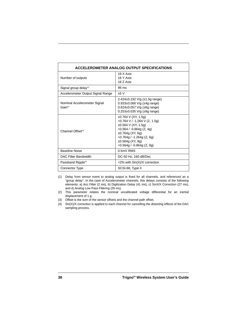| ACCELEROMETER ANALOG OUTPUT SPECIFICATIONS   |                                                                                                                                                                                                                             |  |  |
|----------------------------------------------|-----------------------------------------------------------------------------------------------------------------------------------------------------------------------------------------------------------------------------|--|--|
| Number of outputs                            | 16 X Axis<br>16 Y Axis<br>16 Z Axis                                                                                                                                                                                         |  |  |
| Signal group delay $(1)$                     | 96 ms                                                                                                                                                                                                                       |  |  |
| Accelerometer Output Signal Range            | $+5V$                                                                                                                                                                                                                       |  |  |
| Nominal Accelerometer Signal<br>$Gain^{(2)}$ | $2.424 \pm 0.192 \text{ V/g } (\pm 1.5 \text{g range})$<br>$0.933\pm0.066$ V/g ( $\pm$ 4g range)<br>0.624±0.057 V/g (±6g range)<br>$0.253 \pm 0.035$ V/g ( $\pm 9$ g range)                                                 |  |  |
| Channel Offset <sup>(3)</sup>                | $\pm 0.764$ V (XY, 1.5g)<br>+0.764 V / -1.264 V (Z, 1.5g)<br>$\pm 0.564$ V (XY, 1.5g)<br>+0.564 / -0.864g (Z, 4g)<br>$±0.764g$ (XY, 6g)<br>$+0.764g / -1.264g (Z, 6g)$<br>$±0.564g$ (XY, 9g)<br>$+0.564g / -0.864g (Z, 9g)$ |  |  |
| <b>Baseline Noise</b>                        | $0.5mV$ RMS                                                                                                                                                                                                                 |  |  |
| DAC Filter Bandwidth                         | DC-50 Hz, 160 dB/Dec                                                                                                                                                                                                        |  |  |
| Passband Ripple <sup>(4)</sup>               | $<$ 2% with $\sin(X)/X$ correction                                                                                                                                                                                          |  |  |
| Connector Type                               | SCSI-68, Type II                                                                                                                                                                                                            |  |  |

- (1) Delay from sensor event to analog output is fixed for all channels, and referenced as a "group delay". In the case of Accelerometer channels, this delays consists of the following elements: a) Acc Filter (2 ms), b) Digitization Delay (41 ms), c) SinX/X Correction (27 ms), and d) Analog Low Pass Filtering (26 ms).
- (2) This parameter relates the nominal uncalibrated voltage differential for an inertial displacement of 1 g.
- (3) Offset is the sum of the sensor offsets and the channel path offset.
- (4) Sin(X)/X correction is applied to each channel for cancelling the distorting effects of the DAC sampling process.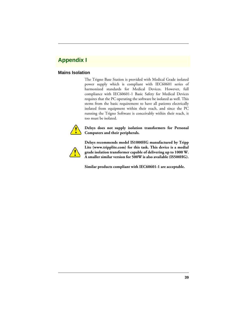# **Appendix I**

## **Mains Isolation**

The Trigno Base Station is provided with Medical Grade isolated power supply which is compliant with IEC60601 series of harmonized standards for Medical Devices. However, full compliance with IEC60601-1 Basic Safety for Medical Devices requires that the PC operating the software be isolated as well. This stems from the basic requirement to have all patients electrically isolated from equipment within their reach, and since the PC running the Trigno Software is conceivably within their reach, it too must be isolated.



#### **Delsys does not supply isolation transformers for Personal Computers and their peripherals.**



**Delsys recommends model IS1000HG manufactured by Tripp Lite (www.tripplite.com) for this task. This device is a medial grade isolation transformer capable of delivering up to 1000 W. A smaller similar version for 500W is also available (IS500HG).**

**Similar products compliant with IEC60601-1 are acceptable.**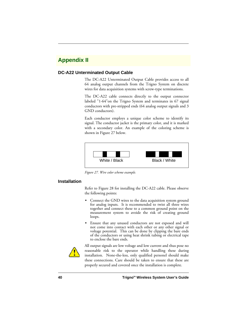# **Appendix II**

## **DC-A22 Unterminated Output Cable**

The DC-A22 Unterminated Output Cable provides access to all 64 analog output channels from the Trigno System on discrete wires for data acquisition systems with screw-type terminations.

The DC-A22 cable connects directly to the output connector labeled "1-64"on the Trigno System and terminates in 67 signal conductors with pre-stripped ends (64 analog output signals and 3 GND conductors).

Each conductor employs a unique color scheme to identify its signal. The conductor jacket is the primary color, and it is marked with a secondary color. An example of the coloring scheme is shown in [Figure 27](#page-40-0) below.



<span id="page-40-0"></span>*Figure 27. Wire color scheme example.*

## **Installation**

Refer to [Figure 28](#page-41-0) for installing the DC-A22 cable. Please observe the following points:

- **•** Connect the GND wires to the data acquisition system ground for analog inputs. It is recommended to twist all three wires together and connect these to a common ground point on the measurement system to avoide the risk of creating ground loops.
- **•** Ensure that any unused conductors are not exposed and will not come into contact with each other or any other signal or voltage potential. This can be done by clipping the bare ends of the conductors or using heat shrink tubing or electrical tape to enclose the bare ends.



All output signals are low voltage and low current and thus pose no reasonable risk to the operator while handling these during installation. None-the-less, only qualified personel should make these connections. Care should be taken to ensure that these are properly secured and covered once the installation is complete.